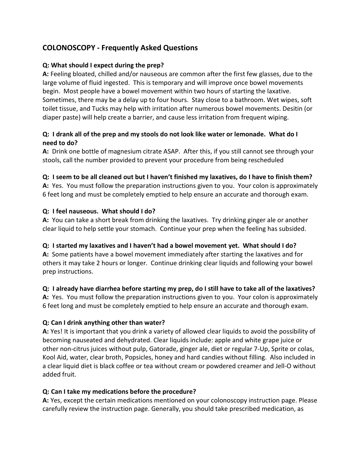# COLONOSCOPY - Frequently Asked Questions

#### Q: What should I expect during the prep?

A: Feeling bloated, chilled and/or nauseous are common after the first few glasses, due to the large volume of fluid ingested. This is temporary and will improve once bowel movements begin. Most people have a bowel movement within two hours of starting the laxative. Sometimes, there may be a delay up to four hours. Stay close to a bathroom. Wet wipes, soft toilet tissue, and Tucks may help with irritation after numerous bowel movements. Desitin (or diaper paste) will help create a barrier, and cause less irritation from frequent wiping.

### Q: I drank all of the prep and my stools do not look like water or lemonade. What do I need to do?

A: Drink one bottle of magnesium citrate ASAP. After this, if you still cannot see through your stools, call the number provided to prevent your procedure from being rescheduled

#### Q: I seem to be all cleaned out but I haven't finished my laxatives, do I have to finish them?

A: Yes. You must follow the preparation instructions given to you. Your colon is approximately 6 feet long and must be completely emptied to help ensure an accurate and thorough exam.

#### Q: I feel nauseous. What should I do?

A: You can take a short break from drinking the laxatives. Try drinking ginger ale or another clear liquid to help settle your stomach. Continue your prep when the feeling has subsided.

#### Q: I started my laxatives and I haven't had a bowel movement yet. What should I do?

A: Some patients have a bowel movement immediately after starting the laxatives and for others it may take 2 hours or longer. Continue drinking clear liquids and following your bowel prep instructions.

#### Q: I already have diarrhea before starting my prep, do I still have to take all of the laxatives?

A: Yes. You must follow the preparation instructions given to you. Your colon is approximately 6 feet long and must be completely emptied to help ensure an accurate and thorough exam.

#### Q: Can I drink anything other than water?

A: Yes! It is important that you drink a variety of allowed clear liquids to avoid the possibility of becoming nauseated and dehydrated. Clear liquids include: apple and white grape juice or other non-citrus juices without pulp, Gatorade, ginger ale, diet or regular 7-Up, Sprite or colas, Kool Aid, water, clear broth, Popsicles, honey and hard candies without filling. Also included in a clear liquid diet is black coffee or tea without cream or powdered creamer and Jell-O without added fruit.

#### Q: Can I take my medications before the procedure?

A: Yes, except the certain medications mentioned on your colonoscopy instruction page. Please carefully review the instruction page. Generally, you should take prescribed medication, as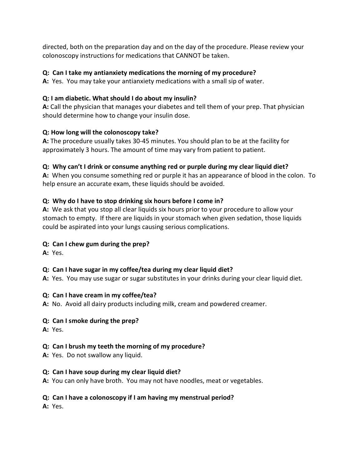directed, both on the preparation day and on the day of the procedure. Please review your colonoscopy instructions for medications that CANNOT be taken.

### Q: Can I take my antianxiety medications the morning of my procedure?

A: Yes. You may take your antianxiety medications with a small sip of water.

# Q: I am diabetic. What should I do about my insulin?

A: Call the physician that manages your diabetes and tell them of your prep. That physician should determine how to change your insulin dose.

# Q: How long will the colonoscopy take?

A: The procedure usually takes 30-45 minutes. You should plan to be at the facility for approximately 3 hours. The amount of time may vary from patient to patient.

# Q: Why can't I drink or consume anything red or purple during my clear liquid diet?

A: When you consume something red or purple it has an appearance of blood in the colon. To help ensure an accurate exam, these liquids should be avoided.

# Q: Why do I have to stop drinking six hours before I come in?

A: We ask that you stop all clear liquids six hours prior to your procedure to allow your stomach to empty. If there are liquids in your stomach when given sedation, those liquids could be aspirated into your lungs causing serious complications.

# Q: Can I chew gum during the prep?

A: Yes.

# Q: Can I have sugar in my coffee/tea during my clear liquid diet?

A: Yes. You may use sugar or sugar substitutes in your drinks during your clear liquid diet.

#### Q: Can I have cream in my coffee/tea?

A: No. Avoid all dairy products including milk, cream and powdered creamer.

#### Q: Can I smoke during the prep?

A: Yes.

# Q: Can I brush my teeth the morning of my procedure?

A: Yes. Do not swallow any liquid.

#### Q: Can I have soup during my clear liquid diet?

A: You can only have broth. You may not have noodles, meat or vegetables.

#### Q: Can I have a colonoscopy if I am having my menstrual period?

A: Yes.